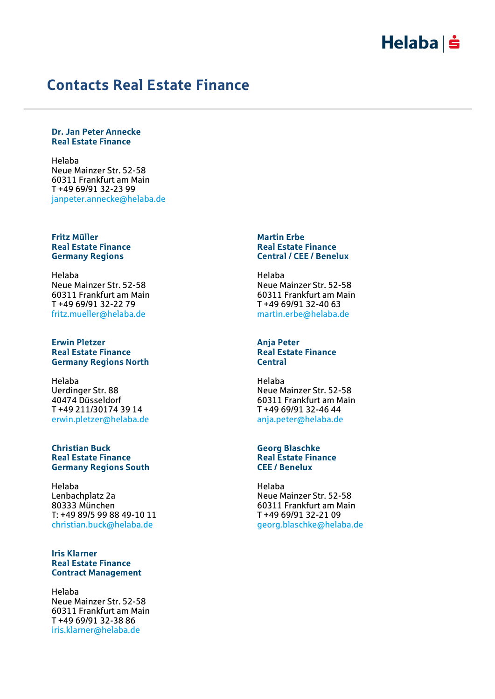## $Helaba| \dot{ }$

### Contacts Real Estate Finance

#### Dr. Jan Peter Annecke Real Estate Finance

Helaba Neue Mainzer Str. 52-58 60311 Frankfurt am Main T +49 69/91 32-23 99 janpeter.annecke@helaba.de

### Fritz Müller Real Estate Finance Germany Regions

Helaba Neue Mainzer Str. 52-58 60311 Frankfurt am Main T +49 69/91 32-22 79 fritz.mueller@helaba.de

### Erwin Pletzer Real Estate Finance Germany Regions North

Helaba Uerdinger Str. 88 40474 Düsseldorf T +49 211/30174 39 14 erwin.pletzer@helaba.de

### Christian Buck Real Estate Finance Germany Regions South

Helaba Lenbachplatz 2a 80333 München T: +49 89/5 99 88 49-10 11 christian.buck@helaba.de

### Iris Klarner Real Estate Finance Contract Management

Helaba Neue Mainzer Str. 52-58 60311 Frankfurt am Main T +49 69/91 32-38 86 iris.klarner@helaba.de

### Martin Erbe Real Estate Finance Central / CEE / Benelux

Helaba Neue Mainzer Str. 52-58 60311 Frankfurt am Main T +49 69/91 32-40 63 martin.erbe@helaba.de

### Anja Peter Real Estate Finance **Central**

Helaba Neue Mainzer Str. 52-58 60311 Frankfurt am Main T +49 69/91 32-46 44 anja.peter@helaba.de

### Georg Blaschke Real Estate Finance CEE / Benelux

Helaba Neue Mainzer Str. 52-58 60311 Frankfurt am Main T +49 69/91 32-21 09 georg.blaschke@helaba.de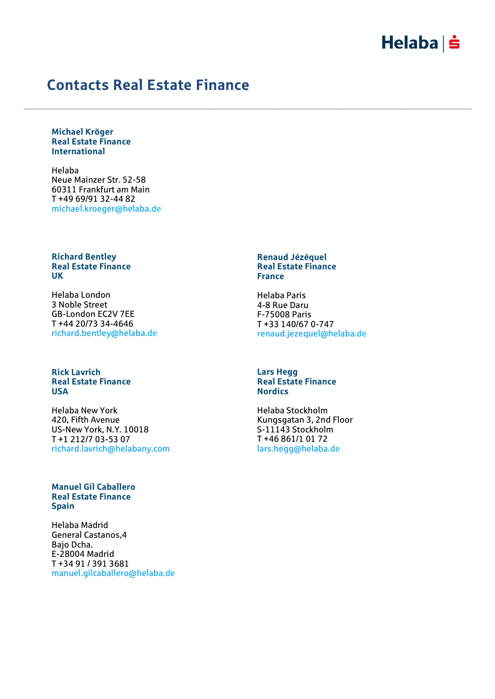## $Helaba| \dot{ }$

### Contacts Real Estate Finance

Michael Kröger Real Estate Finance International

Helaba Neue Mainzer Str. 52-58 60311 Frankfurt am Main T +49 69/91 32-44 82 michael.kroeger@helaba.de

### Richard Bentley Real Estate Finance UK

Helaba London 3 Noble Street GB-London EC2V 7EE T +44 20/73 34-4646 richard.bentley@helaba.de

### Rick Lavrich Real Estate Finance USA

Helaba New York 420, Fifth Avenue US-New York, N.Y. 10018 T +1 212/7 03-53 07 richard.lavrich@helabany.com

### Manuel Gil Caballero Real Estate Finance **Spain**

Helaba Madrid General Castanos,4 Bajo Dcha. E-28004 Madrid T +34 91 / 391 3681 manuel.gilcaballero@helaba.de

#### Renaud Jézéquel Real Estate Finance France

Helaba Paris 4-8 Rue Daru F-75008 Paris T +33 140/67 0-747 renaud.jezequel@helaba.de

### Lars Hegg Real Estate Finance **Nordics**

Helaba Stockholm Kungsgatan 3, 2nd Floor S-11143 Stockholm T +46 861/1 01 72 lars.hegg@helaba.de